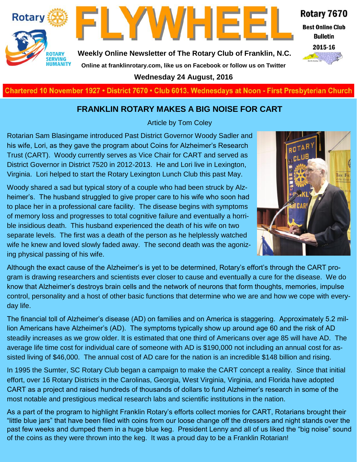



**Weekly Online Newsletter of The Rotary Club of Franklin, N.C.**

## Rotary 7670

**Best Online Club Bulletin** 



**Online at franklinrotary.com, like us on Facebook or follow us on Twitter**

**Wednesday 24 August, 2016**

**Charted November 29, 1927 • District 7670 • Club 6013 Wednesdays at Noon - First Presbyterian Church**

#### **FRANKLIN ROTARY MAKES A BIG NOISE FOR CART**

Article by Tom Coley

Rotarian Sam Blasingame introduced Past District Governor Woody Sadler and his wife, Lori, as they gave the program about Coins for Alzheimer's Research Trust (CART). Woody currently serves as Vice Chair for CART and served as District Governor in District 7520 in 2012-2013. He and Lori live in Lexington, Virginia. Lori helped to start the Rotary Lexington Lunch Club this past May.

Woody shared a sad but typical story of a couple who had been struck by Alzheimer's. The husband struggled to give proper care to his wife who soon had to place her in a professional care facility. The disease begins with symptoms of memory loss and progresses to total cognitive failure and eventually a horrible insidious death. This husband experienced the death of his wife on two separate levels. The first was a death of the person as he helplessly watched wife he knew and loved slowly faded away. The second death was the agonizing physical passing of his wife.



Although the exact cause of the Alzheimer's is yet to be determined, Rotary's effort's through the CART program is drawing researchers and scientists ever closer to cause and eventually a cure for the disease. We do know that Alzheimer's destroys brain cells and the network of neurons that form thoughts, memories, impulse control, personality and a host of other basic functions that determine who we are and how we cope with everyday life.

The financial toll of Alzheimer's disease (AD) on families and on America is staggering. Approximately 5.2 million Americans have Alzheimer's (AD). The symptoms typically show up around age 60 and the risk of AD steadily increases as we grow older. It is estimated that one third of Americans over age 85 will have AD. The average life time cost for individual care of someone with AD is \$190,000 not including an annual cost for assisted living of \$46,000. The annual cost of AD care for the nation is an incredible \$148 billion and rising.

In 1995 the Sumter, SC Rotary Club began a campaign to make the CART concept a reality. Since that initial effort, over 16 Rotary Districts in the Carolinas, Georgia, West Virginia, Virginia, and Florida have adopted CART as a project and raised hundreds of thousands of dollars to fund Alzheimer's research in some of the most notable and prestigious medical research labs and scientific institutions in the nation.

As a part of the program to highlight Franklin Rotary's efforts collect monies for CART, Rotarians brought their "little blue jars" that have been filed with coins from our loose change off the dressers and night stands over the past few weeks and dumped them in a huge blue keg. President Lenny and all of us liked the "big noise" sound of the coins as they were thrown into the keg. It was a proud day to be a Franklin Rotarian!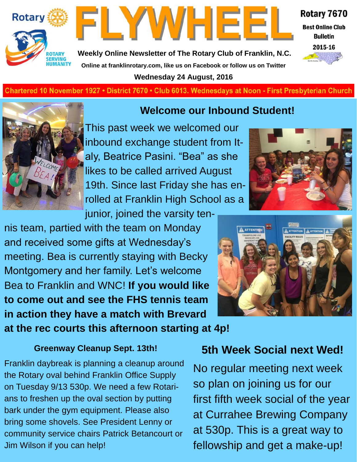



Rotary 7670

**Best Online Club Bulletin** 



**Weekly Online Newsletter of The Rotary Club of Franklin, N.C. Online at franklinrotary.com, like us on Facebook or follow us on Twitter**

**Wednesday 24 August, 2016**

**Charted November 29, 1927 • District 7670 • Club 6013 Wednesdays at Noon - First Presbyterian Church**



**Welcome our Inbound Student!**

This past week we welcomed our inbound exchange student from Italy, Beatrice Pasini. "Bea" as she likes to be called arrived August 19th. Since last Friday she has enrolled at Franklin High School as a junior, joined the varsity ten-

nis team, partied with the team on Monday and received some gifts at Wednesday's meeting. Bea is currently staying with Becky Montgomery and her family. Let's welcome Bea to Franklin and WNC! **If you would like to come out and see the FHS tennis team in action they have a match with Brevard at the rec courts this afternoon starting at 4p!**

#### **Greenway Cleanup Sept. 13th!**

Franklin daybreak is planning a cleanup around the Rotary oval behind Franklin Office Supply on Tuesday 9/13 530p. We need a few Rotarians to freshen up the oval section by putting bark under the gym equipment. Please also bring some shovels. See President Lenny or community service chairs Patrick Betancourt or Jim Wilson if you can help!





### **5th Week Social next Wed!**

No regular meeting next week so plan on joining us for our first fifth week social of the year at Currahee Brewing Company at 530p. This is a great way to fellowship and get a make-up!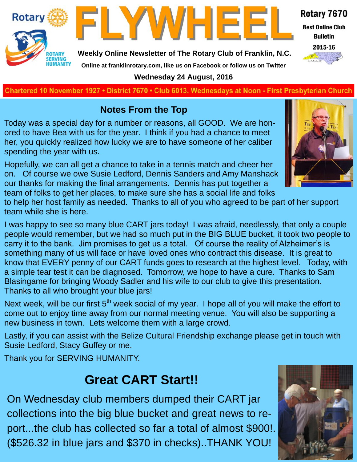



**Weekly Online Newsletter of The Rotary Club of Franklin, N.C.**

#### Rotary 7670

**Best Online Club Bulletin** 



**Online at franklinrotary.com, like us on Facebook or follow us on Twitter Wednesday 24 August, 2016**

**Charted November 29, 1927 • District 7670 • Club 6013 Wednesdays at Noon - First Presbyterian Church**

#### **Notes From the Top**

Today was a special day for a number or reasons, all GOOD. We are honored to have Bea with us for the year. I think if you had a chance to meet her, you quickly realized how lucky we are to have someone of her caliber spending the year with us.

Hopefully, we can all get a chance to take in a tennis match and cheer her on. Of course we owe Susie Ledford, Dennis Sanders and Amy Manshack our thanks for making the final arrangements. Dennis has put together a team of folks to get her places, to make sure she has a social life and folks



to help her host family as needed. Thanks to all of you who agreed to be part of her support team while she is here.

I was happy to see so many blue CART jars today! I was afraid, needlessly, that only a couple people would remember, but we had so much put in the BIG BLUE bucket, it took two people to carry it to the bank. Jim promises to get us a total. Of course the reality of Alzheimer's is something many of us will face or have loved ones who contract this disease. It is great to know that EVERY penny of our CART funds goes to research at the highest level. Today, with a simple tear test it can be diagnosed. Tomorrow, we hope to have a cure. Thanks to Sam Blasingame for bringing Woody Sadler and his wife to our club to give this presentation. Thanks to all who brought your blue jars!

Next week, will be our first 5<sup>th</sup> week social of my year. I hope all of you will make the effort to come out to enjoy time away from our normal meeting venue. You will also be supporting a new business in town. Lets welcome them with a large crowd.

Lastly, if you can assist with the Belize Cultural Friendship exchange please get in touch with Susie Ledford, Stacy Guffey or me.

Thank you for SERVING HUMANITY.

# **Great CART Start!!**

On Wednesday club members dumped their CART jar collections into the big blue bucket and great news to report...the club has collected so far a total of almost \$900!. (\$526.32 in blue jars and \$370 in checks)..THANK YOU!

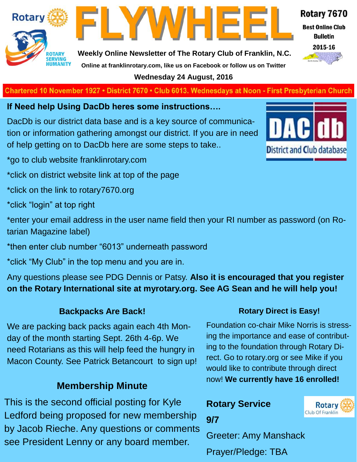



**Weekly Online Newsletter of The Rotary Club of Franklin, N.C. Online at franklinrotary.com, like us on Facebook or follow us on Twitter**

**Wednesday 24 August, 2016**

**Charted November 29, 1927 • District 7670 • Club 6013 Wednesdays at Noon - First Presbyterian Church**

**If Need help Using DacDb heres some instructions….**

DacDb is our district data base and is a key source of communication or information gathering amongst our district. If you are in need of help getting on to DacDb here are some steps to take..

\*go to club website franklinrotary.com

\*click on district website link at top of the page

\*click on the link to rotary7670.org

\*click "login" at top right

\*enter your email address in the user name field then your RI number as password (on Rotarian Magazine label)

\*then enter club number "6013" underneath password

\*click "My Club" in the top menu and you are in.

Any questions please see PDG Dennis or Patsy. **Also it is encouraged that you register on the Rotary International site at myrotary.org. See AG Sean and he will help you!**

#### **Backpacks Are Back!**

We are packing back packs again each 4th Monday of the month starting Sept. 26th 4-6p. We need Rotarians as this will help feed the hungry in Macon County. See Patrick Betancourt to sign up!

#### **Membership Minute**

This is the second official posting for Kyle Ledford being proposed for new membership by Jacob Rieche. Any questions or comments see President Lenny or any board member.



#### **Rotary Direct is Easy!**

Foundation co-chair Mike Norris is stressing the importance and ease of contributing to the foundation through Rotary Direct. Go to rotary.org or see Mike if you would like to contribute through direct now! **We currently have 16 enrolled!**

### **Rotary Service 9/7**



Prayer/Pledge: TBA



#### Rotary 7670

**Best Online Club** 

**Bulletin** 

2015-16

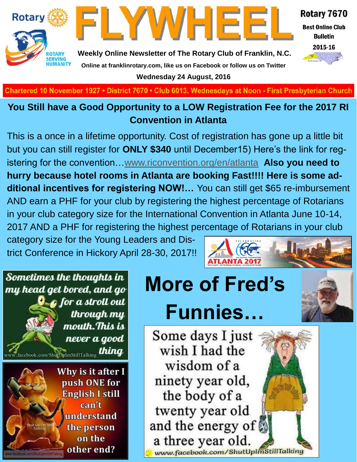



Rotary 7670

**Best Online Club Bulletin** 



**Weekly Online Newsletter of The Rotary Club of Franklin, N.C. Online at franklinrotary.com, like us on Facebook or follow us on Twitter Wednesday 24 August, 2016**

**Charted November 29, 1927 • District 7670 • Club 6013 Wednesdays at Noon - First Presbyterian Church**

#### **You Still have a Good Opportunity to a LOW Registration Fee for the 2017 RI Convention in Atlanta**

This is a once in a lifetime opportunity. Cost of registration has gone up a little bit but you can still register for **ONLY \$340** until December15) Here's the link for registering for the convention…[www.riconvention.org/en/atlanta](http://www.riconvention.org/en/atlanta) **Also you need to hurry because hotel rooms in Atlanta are booking Fast!!!! Here is some additional incentives for registering NOW!…** You can still get \$65 re-imbursement AND earn a PHF for your club by registering the highest percentage of Rotarians in your club category size for the International Convention in Atlanta June 10-14, 2017 AND a PHF for registering the highest percentage of Rotarians in your club

category size for the Young Leaders and District Conference in Hickory April 28-30, 2017!!



# **More of Fred's Funnies…**

Some days I just wish I had the wisdom of a ninety year old, the body of a twenty year old and the energy of a three year old. www.facebook.com/ShutUpImStillTalking